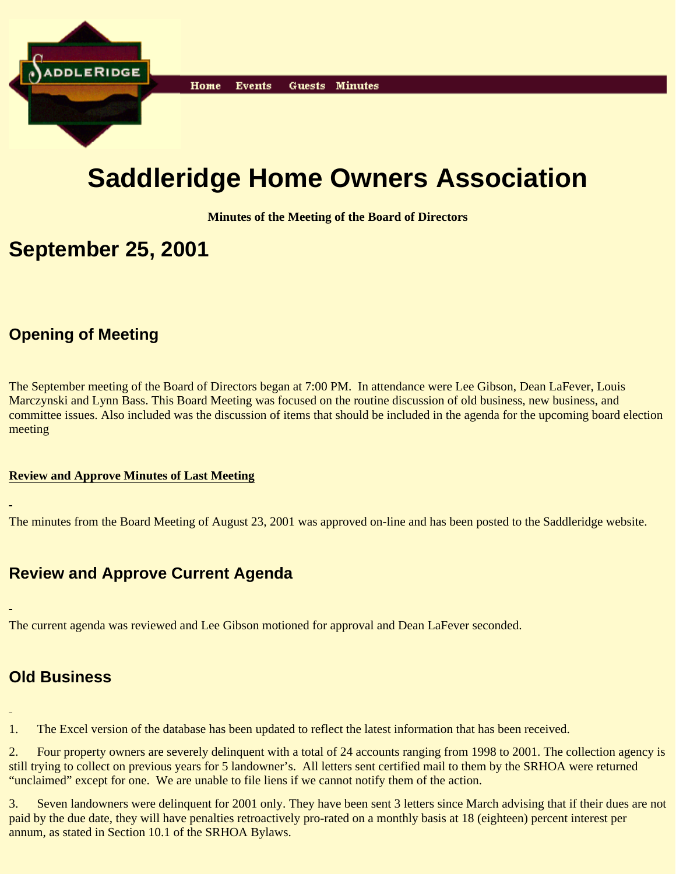

# **Saddleridge Home Owners Association**

**Minutes of the Meeting of the Board of Directors**

# **September 25, 2001**

## **Opening of Meeting**

The September meeting of the Board of Directors began at 7:00 PM. In attendance were Lee Gibson, Dean LaFever, Louis Marczynski and Lynn Bass. This Board Meeting was focused on the routine discussion of old business, new business, and committee issues. Also included was the discussion of items that should be included in the agenda for the upcoming board election meeting

#### **Review and Approve Minutes of Last Meeting**

The minutes from the Board Meeting of August 23, 2001 was approved on-line and has been posted to the Saddleridge website.

#### **Review and Approve Current Agenda**

The current agenda was reviewed and Lee Gibson motioned for approval and Dean LaFever seconded.

#### **Old Business**

1. The Excel version of the database has been updated to reflect the latest information that has been received.

2. Four property owners are severely delinquent with a total of 24 accounts ranging from 1998 to 2001. The collection agency is still trying to collect on previous years for 5 landowner's. All letters sent certified mail to them by the SRHOA were returned "unclaimed" except for one. We are unable to file liens if we cannot notify them of the action.

3. Seven landowners were delinquent for 2001 only. They have been sent 3 letters since March advising that if their dues are not paid by the due date, they will have penalties retroactively pro-rated on a monthly basis at 18 (eighteen) percent interest per annum, as stated in Section 10.1 of the SRHOA Bylaws.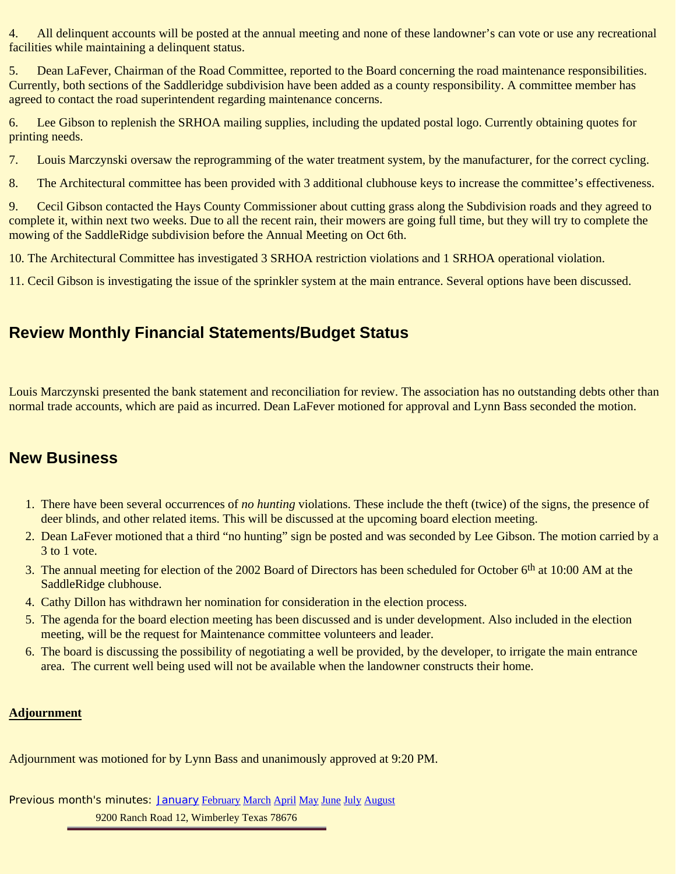4. All delinquent accounts will be posted at the annual meeting and none of these landowner's can vote or use any recreational facilities while maintaining a delinquent status.

5. Dean LaFever, Chairman of the Road Committee, reported to the Board concerning the road maintenance responsibilities. Currently, both sections of the Saddleridge subdivision have been added as a county responsibility. A committee member has agreed to contact the road superintendent regarding maintenance concerns.

6. Lee Gibson to replenish the SRHOA mailing supplies, including the updated postal logo. Currently obtaining quotes for printing needs.

7. Louis Marczynski oversaw the reprogramming of the water treatment system, by the manufacturer, for the correct cycling.

8. The Architectural committee has been provided with 3 additional clubhouse keys to increase the committee's effectiveness.

9. Cecil Gibson contacted the Hays County Commissioner about cutting grass along the Subdivision roads and they agreed to complete it, within next two weeks. Due to all the recent rain, their mowers are going full time, but they will try to complete the mowing of the SaddleRidge subdivision before the Annual Meeting on Oct 6th.

10. The Architectural Committee has investigated 3 SRHOA restriction violations and 1 SRHOA operational violation.

11. Cecil Gibson is investigating the issue of the sprinkler system at the main entrance. Several options have been discussed.

### **Review Monthly Financial Statements/Budget Status**

Louis Marczynski presented the bank statement and reconciliation for review. The association has no outstanding debts other than normal trade accounts, which are paid as incurred. Dean LaFever motioned for approval and Lynn Bass seconded the motion.

#### **New Business**

- 1. There have been several occurrences of *no hunting* violations. These include the theft (twice) of the signs, the presence of deer blinds, and other related items. This will be discussed at the upcoming board election meeting.
- 2. Dean LaFever motioned that a third "no hunting" sign be posted and was seconded by Lee Gibson. The motion carried by a 3 to 1 vote.
- 3. The annual meeting for election of the 2002 Board of Directors has been scheduled for October 6<sup>th</sup> at 10:00 AM at the SaddleRidge clubhouse.
- 4. Cathy Dillon has withdrawn her nomination for consideration in the election process.
- 5. The agenda for the board election meeting has been discussed and is under development. Also included in the election meeting, will be the request for Maintenance committee volunteers and leader.
- The board is discussing the possibility of negotiating a well be provided, by the developer, to irrigate the main entrance 6. area. The current well being used will not be available when the landowner constructs their home.

#### **Adjournment**

Adjournment was motioned for by Lynn Bass and unanimously approved at 9:20 PM.

Previous month's minutes: January February March April May June July August 9200 Ranch Road 12, Wimberley Texas 78676